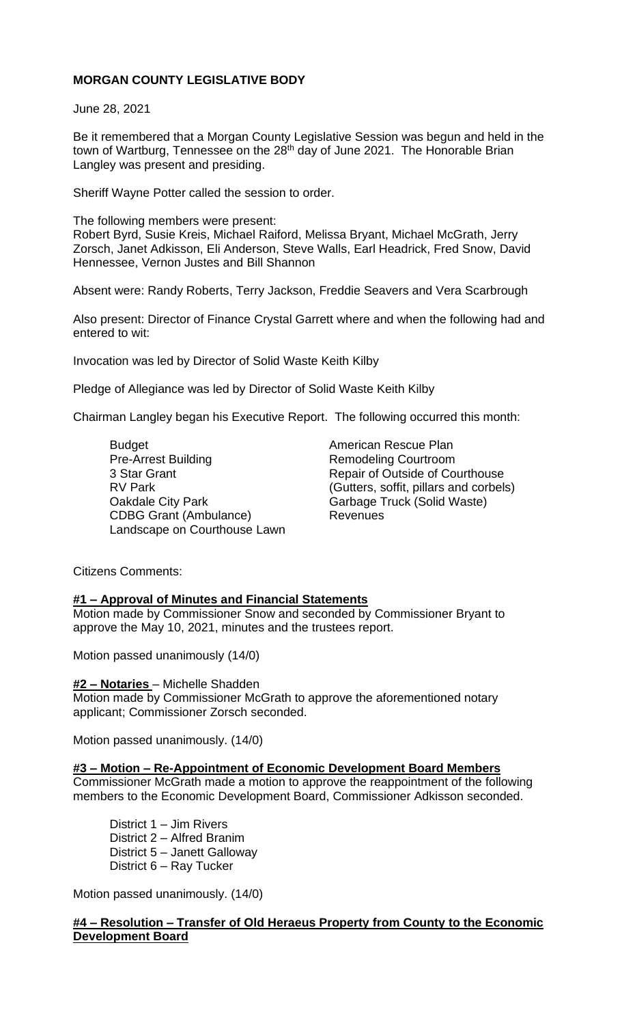# **MORGAN COUNTY LEGISLATIVE BODY**

June 28, 2021

Be it remembered that a Morgan County Legislative Session was begun and held in the town of Wartburg, Tennessee on the 28<sup>th</sup> day of June 2021. The Honorable Brian Langley was present and presiding.

Sheriff Wayne Potter called the session to order.

The following members were present: Robert Byrd, Susie Kreis, Michael Raiford, Melissa Bryant, Michael McGrath, Jerry Zorsch, Janet Adkisson, Eli Anderson, Steve Walls, Earl Headrick, Fred Snow, David Hennessee, Vernon Justes and Bill Shannon

Absent were: Randy Roberts, Terry Jackson, Freddie Seavers and Vera Scarbrough

Also present: Director of Finance Crystal Garrett where and when the following had and entered to wit:

Invocation was led by Director of Solid Waste Keith Kilby

Pledge of Allegiance was led by Director of Solid Waste Keith Kilby

Chairman Langley began his Executive Report. The following occurred this month:

Budget<br>
Pre-Arrest Building<br>
Pre-Arrest Building<br>
American Rescue Plan 3 Star Grant **Repair of Outside of Courthouse** Oakdale City Park Garbage Truck (Solid Waste) CDBG Grant (Ambulance) Revenues Landscape on Courthouse Lawn

Remodeling Courtroom RV Park (Gutters, soffit, pillars and corbels)

Citizens Comments:

### **#1 – Approval of Minutes and Financial Statements**

Motion made by Commissioner Snow and seconded by Commissioner Bryant to approve the May 10, 2021, minutes and the trustees report.

Motion passed unanimously (14/0)

## **#2 – Notaries** – Michelle Shadden

Motion made by Commissioner McGrath to approve the aforementioned notary applicant; Commissioner Zorsch seconded.

Motion passed unanimously. (14/0)

### **#3 – Motion – Re-Appointment of Economic Development Board Members**

Commissioner McGrath made a motion to approve the reappointment of the following members to the Economic Development Board, Commissioner Adkisson seconded.

District 1 – Jim Rivers District 2 – Alfred Branim District 5 – Janett Galloway District 6 – Ray Tucker

Motion passed unanimously. (14/0)

### **#4 – Resolution – Transfer of Old Heraeus Property from County to the Economic Development Board**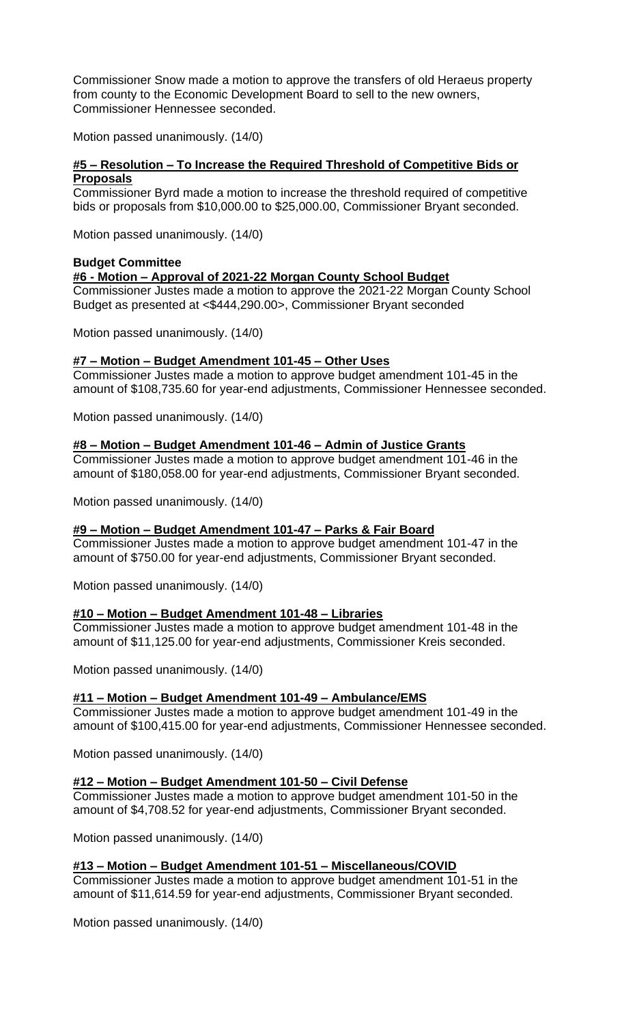Commissioner Snow made a motion to approve the transfers of old Heraeus property from county to the Economic Development Board to sell to the new owners, Commissioner Hennessee seconded.

Motion passed unanimously. (14/0)

# **#5 – Resolution – To Increase the Required Threshold of Competitive Bids or Proposals**

Commissioner Byrd made a motion to increase the threshold required of competitive bids or proposals from \$10,000.00 to \$25,000.00, Commissioner Bryant seconded.

Motion passed unanimously. (14/0)

### **Budget Committee**

### **#6 - Motion – Approval of 2021-22 Morgan County School Budget**

Commissioner Justes made a motion to approve the 2021-22 Morgan County School Budget as presented at <\$444,290.00>, Commissioner Bryant seconded

Motion passed unanimously. (14/0)

### **#7 – Motion – Budget Amendment 101-45 – Other Uses**

Commissioner Justes made a motion to approve budget amendment 101-45 in the amount of \$108,735.60 for year-end adjustments, Commissioner Hennessee seconded.

Motion passed unanimously. (14/0)

### **#8 – Motion – Budget Amendment 101-46 – Admin of Justice Grants**

Commissioner Justes made a motion to approve budget amendment 101-46 in the amount of \$180,058.00 for year-end adjustments, Commissioner Bryant seconded.

Motion passed unanimously. (14/0)

# **#9 – Motion – Budget Amendment 101-47 – Parks & Fair Board**

Commissioner Justes made a motion to approve budget amendment 101-47 in the amount of \$750.00 for year-end adjustments, Commissioner Bryant seconded.

Motion passed unanimously. (14/0)

### **#10 – Motion – Budget Amendment 101-48 – Libraries**

Commissioner Justes made a motion to approve budget amendment 101-48 in the amount of \$11,125.00 for year-end adjustments, Commissioner Kreis seconded.

Motion passed unanimously. (14/0)

### **#11 – Motion – Budget Amendment 101-49 – Ambulance/EMS**

Commissioner Justes made a motion to approve budget amendment 101-49 in the amount of \$100,415.00 for year-end adjustments, Commissioner Hennessee seconded.

Motion passed unanimously. (14/0)

### **#12 – Motion – Budget Amendment 101-50 – Civil Defense**

Commissioner Justes made a motion to approve budget amendment 101-50 in the amount of \$4,708.52 for year-end adjustments, Commissioner Bryant seconded.

Motion passed unanimously. (14/0)

# **#13 – Motion – Budget Amendment 101-51 – Miscellaneous/COVID**

Commissioner Justes made a motion to approve budget amendment 101-51 in the amount of \$11,614.59 for year-end adjustments, Commissioner Bryant seconded.

Motion passed unanimously. (14/0)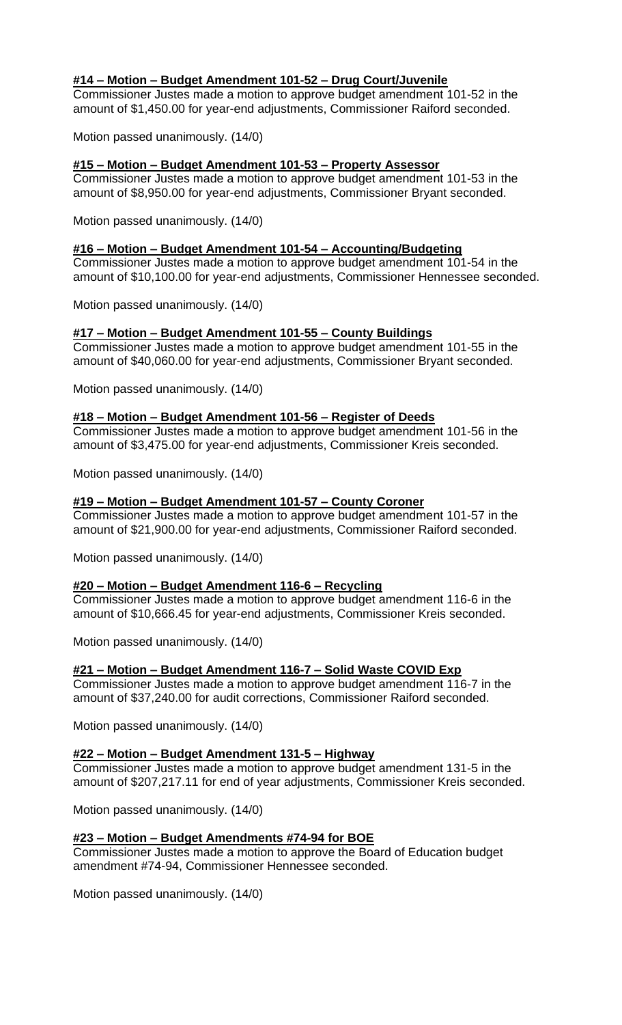## **#14 – Motion – Budget Amendment 101-52 – Drug Court/Juvenile**

Commissioner Justes made a motion to approve budget amendment 101-52 in the amount of \$1,450.00 for year-end adjustments, Commissioner Raiford seconded.

Motion passed unanimously. (14/0)

### **#15 – Motion – Budget Amendment 101-53 – Property Assessor**

Commissioner Justes made a motion to approve budget amendment 101-53 in the amount of \$8,950.00 for year-end adjustments, Commissioner Bryant seconded.

Motion passed unanimously. (14/0)

### **#16 – Motion – Budget Amendment 101-54 – Accounting/Budgeting**

Commissioner Justes made a motion to approve budget amendment 101-54 in the amount of \$10,100.00 for year-end adjustments, Commissioner Hennessee seconded.

Motion passed unanimously. (14/0)

# **#17 – Motion – Budget Amendment 101-55 – County Buildings**

Commissioner Justes made a motion to approve budget amendment 101-55 in the amount of \$40,060.00 for year-end adjustments, Commissioner Bryant seconded.

Motion passed unanimously. (14/0)

### **#18 – Motion – Budget Amendment 101-56 – Register of Deeds**

Commissioner Justes made a motion to approve budget amendment 101-56 in the amount of \$3,475.00 for year-end adjustments, Commissioner Kreis seconded.

Motion passed unanimously. (14/0)

### **#19 – Motion – Budget Amendment 101-57 – County Coroner**

Commissioner Justes made a motion to approve budget amendment 101-57 in the amount of \$21,900.00 for year-end adjustments, Commissioner Raiford seconded.

Motion passed unanimously. (14/0)

### **#20 – Motion – Budget Amendment 116-6 – Recycling**

Commissioner Justes made a motion to approve budget amendment 116-6 in the amount of \$10,666.45 for year-end adjustments, Commissioner Kreis seconded.

Motion passed unanimously. (14/0)

### **#21 – Motion – Budget Amendment 116-7 – Solid Waste COVID Exp**

Commissioner Justes made a motion to approve budget amendment 116-7 in the amount of \$37,240.00 for audit corrections, Commissioner Raiford seconded.

Motion passed unanimously. (14/0)

### **#22 – Motion – Budget Amendment 131-5 – Highway**

Commissioner Justes made a motion to approve budget amendment 131-5 in the amount of \$207,217.11 for end of year adjustments, Commissioner Kreis seconded.

Motion passed unanimously. (14/0)

### **#23 – Motion – Budget Amendments #74-94 for BOE**

Commissioner Justes made a motion to approve the Board of Education budget amendment #74-94, Commissioner Hennessee seconded.

Motion passed unanimously. (14/0)